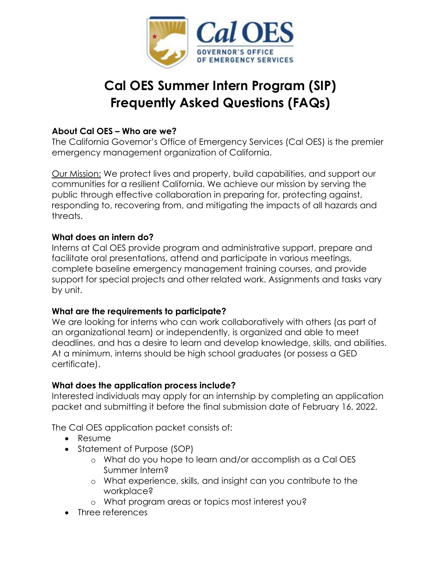

# **Cal OES Summer Intern Program (SIP) Frequently Asked Questions (FAQs)**

# **About Cal OES – Who are we?**

The California Governor's Office of Emergency Services (Cal OES) is the premier emergency management organization of California.

Our Mission: We protect lives and property, build capabilities, and support our communities for a resilient California. We achieve our mission by serving the public through effective collaboration in preparing for, protecting against, responding to, recovering from, and mitigating the impacts of all hazards and threats.

# **What does an intern do?**

Interns at Cal OES provide program and administrative support, prepare and facilitate oral presentations, attend and participate in various meetings, complete baseline emergency management training courses, and provide support for special projects and other related work. Assignments and tasks vary by unit.

## **What are the requirements to participate?**

We are looking for interns who can work collaboratively with others (as part of an organizational team) or independently, is organized and able to meet deadlines, and has a desire to learn and develop knowledge, skills, and abilities. At a minimum, interns should be high school graduates (or possess a GED certificate).

# **What does the application process include?**

Interested individuals may apply for an internship by completing an application packet and submitting it before the final submission date of February 16, 2022.

The Cal OES application packet consists of:

- Resume
- Statement of Purpose (SOP)
	- o What do you hope to learn and/or accomplish as a Cal OES Summer Intern?
	- o What experience, skills, and insight can you contribute to the workplace?
	- o What program areas or topics most interest you?
- Three references